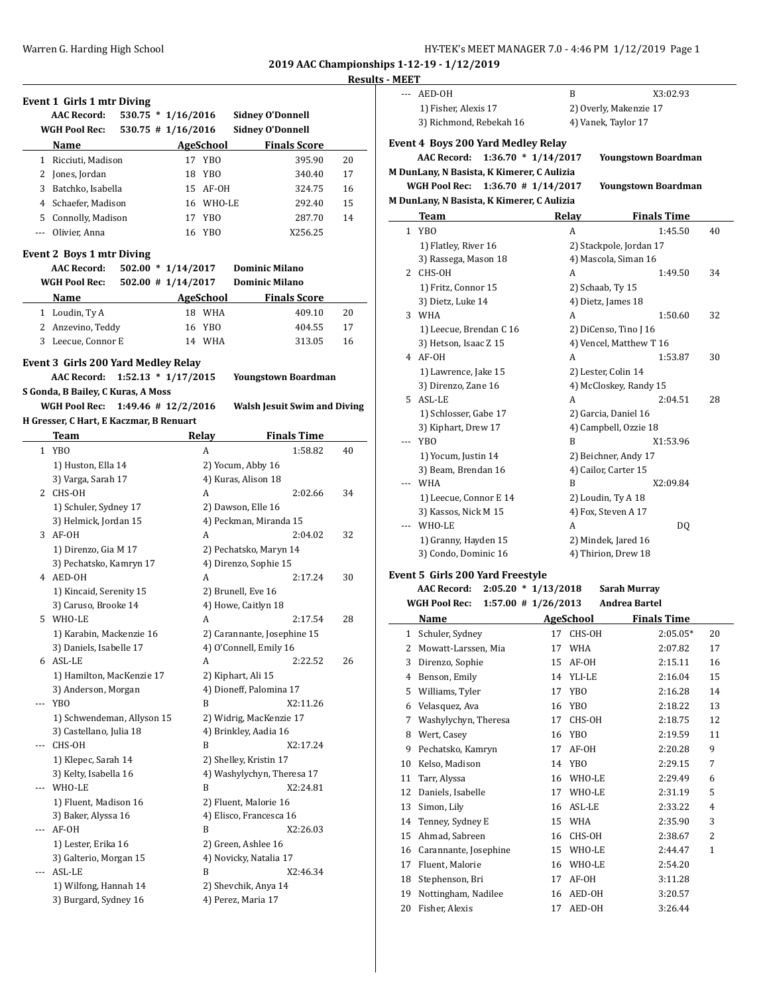# **Results - MEET**

| Event 1 Girls 1 mtr Diving |                                                        |                         |                                            |    |
|----------------------------|--------------------------------------------------------|-------------------------|--------------------------------------------|----|
|                            | <b>AAC Record:</b><br>$530.75 * 1/16/2016$             |                         | <b>Sidney O'Donnell</b>                    |    |
|                            | <b>WGH Pool Rec:</b>                                   | $530.75$ # $1/16/2016$  | <b>Sidney O'Donnell</b>                    |    |
|                            | Name                                                   | <b>AgeSchool</b>        | <b>Finals Score</b>                        |    |
|                            | 1 Ricciuti, Madison                                    | 17 YBO                  | 395.90                                     | 20 |
|                            | 2 Jones, Jordan                                        | 18<br>YBO               | 340.40                                     | 17 |
|                            | 3 Batchko, Isabella                                    | 15 AF-OH                | 324.75                                     | 16 |
|                            | 4 Schaefer, Madison                                    | 16 WHO-LE               | 292.40                                     | 15 |
|                            | 5 Connolly, Madison                                    | 17 YBO                  | 287.70                                     | 14 |
|                            | --- Olivier, Anna                                      | 16 YBO                  | X256.25                                    |    |
|                            |                                                        |                         |                                            |    |
|                            | <b>Event 2 Boys 1 mtr Diving</b><br><b>AAC Record:</b> | $502.00 * 1/14/2017$    | <b>Dominic Milano</b>                      |    |
|                            | <b>WGH Pool Rec:</b>                                   | $502.00$ # $1/14/2017$  | <b>Dominic Milano</b>                      |    |
|                            | Name                                                   | AgeSchool               | <b>Finals Score</b>                        |    |
|                            |                                                        | 18 WHA                  | 409.10                                     | 20 |
|                            | 1 Loudin, Ty A                                         |                         |                                            |    |
|                            | 2 Anzevino, Teddy                                      | 16 YBO                  | 404.55                                     | 17 |
|                            | 3 Leecue, Connor E                                     | 14 WHA                  | 313.05                                     | 16 |
|                            | <b>Event 3 Girls 200 Yard Medley Relay</b>             |                         |                                            |    |
|                            | <b>AAC Record:</b>                                     | $1:52.13 * 1/17/2015$   | Youngstown Boardman                        |    |
|                            | S Gonda, B Bailey, C Kuras, A Moss                     |                         |                                            |    |
|                            | WGH Pool Rec:                                          | $1:49.46$ # $12/2/2016$ | <b>Walsh Jesuit Swim and Diving</b>        |    |
|                            | H Gresser, C Hart, E Kaczmar, B Renuart                |                         |                                            |    |
|                            | <b>Team</b>                                            | Relay                   | <b>Finals Time</b>                         |    |
|                            | 1 YBO                                                  |                         |                                            |    |
|                            |                                                        | A                       | 1:58.82                                    | 40 |
|                            | 1) Huston, Ella 14                                     |                         | 2) Yocum, Abby 16                          |    |
|                            | 3) Varga, Sarah 17                                     |                         | 4) Kuras, Alison 18                        |    |
|                            | 2 CHS-OH                                               | A                       | 2:02.66                                    | 34 |
|                            |                                                        |                         |                                            |    |
|                            | 1) Schuler, Sydney 17                                  |                         | 2) Dawson, Elle 16                         |    |
|                            | 3) Helmick, Jordan 15                                  |                         | 4) Peckman, Miranda 15                     |    |
|                            | 3 AF-OH                                                | A                       | 2:04.02                                    | 32 |
|                            | 1) Direnzo, Gia M 17                                   |                         | 2) Pechatsko, Maryn 14                     |    |
|                            | 3) Pechatsko, Kamryn 17                                |                         | 4) Direnzo, Sophie 15                      |    |
|                            | 4 AED-OH                                               | A                       | 2:17.24                                    | 30 |
|                            | 1) Kincaid, Serenity 15                                |                         | 2) Brunell, Eve 16                         |    |
|                            | 3) Caruso, Brooke 14                                   |                         | 4) Howe, Caitlyn 18                        |    |
|                            | 5 WHO-LE                                               | A                       | 2:17.54                                    | 28 |
|                            | 1) Karabin, Mackenzie 16                               |                         | 2) Carannante, Josephine 15                |    |
|                            | 3) Daniels, Isabelle 17                                |                         | 4) O'Connell, Emily 16                     |    |
|                            | 6 ASL-LE                                               | A                       | 2:22.52                                    | 26 |
|                            | 1) Hamilton, MacKenzie 17                              |                         | 2) Kiphart, Ali 15                         |    |
|                            |                                                        |                         |                                            |    |
| ---                        | 3) Anderson, Morgan                                    | B                       | 4) Dioneff, Palomina 17<br>X2:11.26        |    |
|                            | <b>YBO</b>                                             |                         |                                            |    |
|                            | 1) Schwendeman, Allyson 15                             |                         | 2) Widrig, MacKenzie 17                    |    |
|                            | 3) Castellano, Julia 18                                |                         | 4) Brinkley, Aadia 16                      |    |
| ---                        | CHS-OH                                                 | B                       | X2:17.24                                   |    |
|                            | 1) Klepec, Sarah 14                                    |                         | 2) Shelley, Kristin 17                     |    |
|                            | 3) Kelty, Isabella 16                                  |                         | 4) Washylychyn, Theresa 17                 |    |
| ---                        | WHO-LE                                                 | B                       | X2:24.81                                   |    |
|                            | 1) Fluent, Madison 16                                  |                         | 2) Fluent, Malorie 16                      |    |
|                            | 3) Baker, Alyssa 16                                    |                         | 4) Elisco, Francesca 16                    |    |
|                            | AF-OH                                                  | B                       | X2:26.03                                   |    |
|                            | 1) Lester, Erika 16                                    |                         | 2) Green, Ashlee 16                        |    |
|                            | 3) Galterio, Morgan 15                                 |                         | 4) Novicky, Natalia 17                     |    |
| ---                        | ASL-LE                                                 | B                       | X2:46.34                                   |    |
|                            |                                                        |                         |                                            |    |
|                            | 1) Wilfong, Hannah 14<br>3) Burgard, Sydney 16         |                         | 2) Shevchik, Anya 14<br>4) Perez, Maria 17 |    |

| $---$        | AED-OH                                          |           | B                    | X3:02.93                   |    |
|--------------|-------------------------------------------------|-----------|----------------------|----------------------------|----|
|              | 1) Fisher, Alexis 17                            |           |                      | 2) Overly, Makenzie 17     |    |
|              | 3) Richmond, Rebekah 16                         |           | 4) Vanek, Taylor 17  |                            |    |
|              |                                                 |           |                      |                            |    |
|              | <b>Event 4 Boys 200 Yard Medley Relay</b>       |           |                      |                            |    |
|              | $1:36.70 * 1/14/2017$<br><b>AAC Record:</b>     |           |                      | <b>Youngstown Boardman</b> |    |
|              | M DunLany, N Basista, K Kimerer, C Aulizia      |           |                      |                            |    |
|              | WGH Pool Rec:<br>$1:36.70$ # $1/14/2017$        |           |                      | <b>Youngstown Boardman</b> |    |
|              | M DunLany, N Basista, K Kimerer, C Aulizia      |           |                      |                            |    |
|              | Team                                            | Relay     |                      | <b>Finals Time</b>         |    |
| $\mathbf{1}$ | YB <sub>0</sub>                                 |           | A                    | 1:45.50                    | 40 |
|              | 1) Flatley, River 16                            |           |                      | 2) Stackpole, Jordan 17    |    |
|              | 3) Rassega, Mason 18                            |           |                      | 4) Mascola, Siman 16       |    |
|              | 2 CHS-OH                                        |           | A                    | 1:49.50                    | 34 |
|              | 1) Fritz, Connor 15                             |           | 2) Schaab, Ty 15     |                            |    |
|              | 3) Dietz, Luke 14                               |           | 4) Dietz, James 18   |                            |    |
|              | 3 WHA                                           |           | A                    | 1:50.60                    | 32 |
|              | 1) Leecue, Brendan C 16                         |           |                      | 2) DiCenso, Tino J 16      |    |
|              | 3) Hetson, Isaac Z 15                           |           |                      | 4) Vencel, Matthew T 16    |    |
|              | 4 AF-OH                                         |           | A                    | 1:53.87                    | 30 |
|              | 1) Lawrence, Jake 15                            |           | 2) Lester, Colin 14  |                            |    |
|              | 3) Direnzo, Zane 16                             |           |                      | 4) McCloskey, Randy 15     |    |
|              | 5 ASL-LE                                        |           | A                    | 2:04.51                    | 28 |
|              | 1) Schlosser, Gabe 17                           |           | 2) Garcia, Daniel 16 |                            |    |
|              | 3) Kiphart, Drew 17                             |           |                      | 4) Campbell, Ozzie 18      |    |
| ---          | <b>YBO</b>                                      |           | B                    | X1:53.96                   |    |
|              | 1) Yocum, Justin 14                             |           |                      | 2) Beichner, Andy 17       |    |
|              | 3) Beam, Brendan 16                             |           | 4) Cailor, Carter 15 |                            |    |
|              | --- WHA                                         |           | B                    | X2:09.84                   |    |
|              | 1) Leecue, Connor E 14                          |           | 2) Loudin, Ty A 18   |                            |    |
|              | 3) Kassos, Nick M 15                            |           | 4) Fox, Steven A 17  |                            |    |
|              | --- WHO-LE                                      |           | A                    | DQ                         |    |
|              | 1) Granny, Hayden 15                            |           | 2) Mindek, Jared 16  |                            |    |
|              | 3) Condo, Dominic 16                            |           | 4) Thirion, Drew 18  |                            |    |
|              |                                                 |           |                      |                            |    |
|              | <b>Event 5 Girls 200 Yard Freestyle</b>         |           |                      |                            |    |
|              | <b>AAC Record:</b><br>$2:05.20 * 1/13/2018$     |           |                      | Sarah Murray               |    |
|              | <b>WGH Pool Rec:</b><br>$1:57.00$ # $1/26/2013$ |           |                      | <b>Andrea Bartel</b>       |    |
|              | Name                                            | AgeSchool |                      | <b>Finals Time</b>         |    |
|              | 1 Schuler, Sydney                               |           | 17 CHS-OH            | $2:05.05*$                 | 20 |
| 2            | Mowatt-Larssen, Mia                             | 17        | <b>WHA</b>           | 2:07.82                    | 17 |
| 3            | Direnzo, Sophie                                 | 15        | AF-OH                | 2:15.11                    | 16 |
| 4            | Benson, Emily                                   | 14        | YLI-LE               | 2:16.04                    | 15 |
| 5            | Williams, Tyler                                 | 17        | YBO                  | 2:16.28                    | 14 |
| 6            | Velasquez, Ava                                  | 16        | YB <sub>0</sub>      | 2:18.22                    | 13 |
| 7            | Washylychyn, Theresa                            | 17        | CHS-OH               | 2:18.75                    | 12 |
| 8            | Wert, Casev                                     | 16        | YB <sub>0</sub>      | 2:19.59                    | 11 |
| 9            | Pechatsko, Kamryn                               | 17        | AF-OH                | 2:20.28                    | 9  |
| 10           | Kelso, Madison                                  | 14        | YB <sub>0</sub>      | 2:29.15                    | 7  |
| 11           | Tarr, Alyssa                                    | 16        | WHO-LE               | 2:29.49                    | 6  |
| 12           | Daniels, Isabelle                               | 17        | WHO-LE               | 2:31.19                    | 5  |
| 13           | Simon, Lily                                     | 16        | ASL-LE               | 2:33.22                    | 4  |
| 14           | Tenney, Sydney E                                | 15        | WHA                  | 2:35.90                    | 3  |
| 15           | Ahmad, Sabreen                                  | 16        | CHS-OH               | 2:38.67                    | 2  |
| 16           | Carannante, Josephine                           | 15        | WHO-LE               | 2:44.47                    | 1  |
| 17           | Fluent, Malorie                                 | 16        | WHO-LE               | 2:54.20                    |    |
| 18           | Stephenson, Bri                                 | 17        | AF-OH                | 3:11.28                    |    |
| 19           | Nottingham, Nadilee                             | 16        | AED-OH               | 3:20.57                    |    |
| 20           | Fisher, Alexis                                  | 17        | AED-OH               | 3:26.44                    |    |
|              |                                                 |           |                      |                            |    |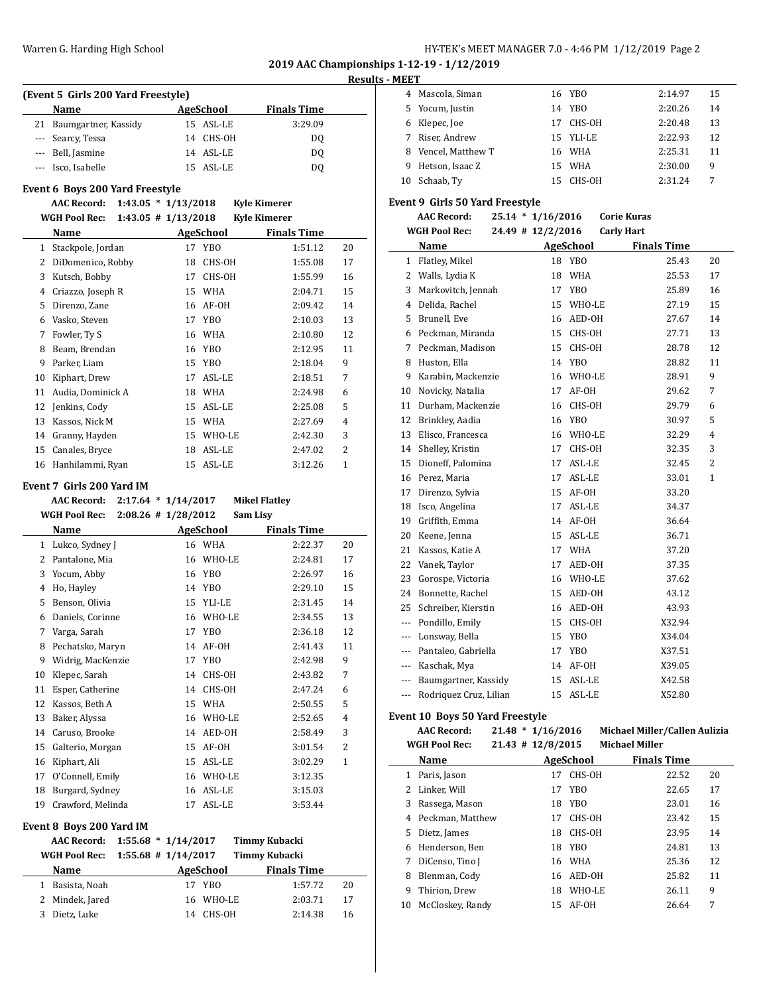#### Warren G. Harding High School **High School HY-TEK's MEET MANAGER 7.0 - 4:46 PM 1/12/2019** Page 2

**2019 AAC Championships 1-12-19 - 1/12/2019**

### **Results - MEET**

 $\overline{\phantom{a}}$ 

| (Event 5 Girls 200 Yard Freestyle) |                         |  |           |                    |  |  |  |  |
|------------------------------------|-------------------------|--|-----------|--------------------|--|--|--|--|
|                                    | <b>Name</b>             |  | AgeSchool | <b>Finals Time</b> |  |  |  |  |
|                                    | 21 Baumgartner, Kassidy |  | 15 ASL-LE | 3:29.09            |  |  |  |  |
|                                    | --- Searcy, Tessa       |  | 14 CHS-OH | D <sub>0</sub>     |  |  |  |  |
|                                    | --- Bell, Jasmine       |  | 14 ASL-LE | DO.                |  |  |  |  |
|                                    | --- Isco, Isabelle      |  | 15 ASL-LE | D0                 |  |  |  |  |

### **Event 6 Boys 200 Yard Freestyle**

**AAC Record: 1:43.05 \* 1/13/2018 Kyle Kimerer**

| $1:43.05 \# 1/13/2018$<br><b>Kyle Kimerer</b> |
|-----------------------------------------------|
|                                               |

|    | Name              |    | <b>AgeSchool</b> | <b>Finals Time</b> |                |
|----|-------------------|----|------------------|--------------------|----------------|
| 1  | Stackpole, Jordan | 17 | YBO              | 1:51.12            | 20             |
| 2  | DiDomenico, Robby | 18 | CHS-OH           | 1:55.08            | 17             |
| 3  | Kutsch, Bobby     | 17 | CHS-OH           | 1:55.99            | 16             |
| 4  | Criazzo, Joseph R | 15 | WHA              | 2:04.71            | 15             |
| 5  | Direnzo, Zane     | 16 | AF-OH            | 2:09.42            | 14             |
| 6  | Vasko, Steven     | 17 | YBO              | 2:10.03            | 13             |
| 7  | Fowler, Ty S      | 16 | <b>WHA</b>       | 2:10.80            | 12             |
| 8  | Beam, Brendan     |    | 16 YBO           | 2:12.95            | 11             |
| 9  | Parker, Liam      | 15 | <b>YBO</b>       | 2:18.04            | 9              |
| 10 | Kiphart, Drew     | 17 | ASL-LE           | 2:18.51            | 7              |
| 11 | Audia, Dominick A | 18 | <b>WHA</b>       | 2:24.98            | 6              |
| 12 | Jenkins, Cody     | 15 | ASL-LE           | 2:25.08            | 5              |
| 13 | Kassos, Nick M    | 15 | <b>WHA</b>       | 2:27.69            | 4              |
| 14 | Granny, Hayden    | 15 | WHO-LE           | 2:42.30            | 3              |
| 15 | Canales, Bryce    | 18 | ASL-LE           | 2:47.02            | $\overline{2}$ |
| 16 | Hanhilammi, Ryan  | 15 | ASL-LE           | 3:12.26            | $\mathbf{1}$   |

### **Event 7 Girls 200 Yard IM**

|              | <b>AAC Record:</b>   |                        | $2:17.64 * 1/14/2017$ |                 | <b>Mikel Flatley</b> |                    |                |
|--------------|----------------------|------------------------|-----------------------|-----------------|----------------------|--------------------|----------------|
|              | <b>WGH Pool Rec:</b> | $2:08.26 \# 1/28/2012$ |                       |                 | Sam Lisy             |                    |                |
|              | Name                 |                        |                       | AgeSchool       |                      | <b>Finals Time</b> |                |
| $\mathbf{1}$ | Lukco, Sydney J      |                        | 16                    | WHA             |                      | 2:22.37            | 20             |
| 2            | Pantalone, Mia       |                        | 16                    | WHO-LE          |                      | 2:24.81            | 17             |
| 3            | Yocum, Abby          |                        | 16                    | <b>YBO</b>      |                      | 2:26.97            | 16             |
| 4            | Ho, Hayley           |                        | 14                    | YB <sub>0</sub> |                      | 2:29.10            | 15             |
| 5            | Benson, Olivia       |                        | 15                    | YLI-LE          |                      | 2:31.45            | 14             |
| 6            | Daniels, Corinne     |                        | 16                    | WHO-LE          |                      | 2:34.55            | 13             |
| 7            | Varga, Sarah         |                        | 17                    | YB <sub>0</sub> |                      | 2:36.18            | 12             |
| 8            | Pechatsko, Maryn     |                        | 14                    | AF-OH           |                      | 2:41.43            | 11             |
| 9            | Widrig, MacKenzie    |                        | 17                    | YB <sub>0</sub> |                      | 2:42.98            | 9              |
| 10           | Klepec, Sarah        |                        | 14                    | CHS-OH          |                      | 2:43.82            | 7              |
| 11           | Esper, Catherine     |                        | 14                    | CHS-OH          |                      | 2:47.24            | 6              |
| 12           | Kassos, Beth A       |                        | 15                    | <b>WHA</b>      |                      | 2:50.55            | 5              |
| 13           | Baker, Alyssa        |                        | 16                    | WHO-LE          |                      | 2:52.65            | 4              |
| 14           | Caruso, Brooke       |                        | 14                    | AED-OH          |                      | 2:58.49            | 3              |
| 15           | Galterio, Morgan     |                        | 15                    | AF-OH           |                      | 3:01.54            | $\overline{2}$ |
| 16           | Kiphart, Ali         |                        | 15                    | ASL-LE          |                      | 3:02.29            | $\mathbf{1}$   |
| 17           | O'Connell, Emily     |                        | 16                    | WHO-LE          |                      | 3:12.35            |                |
| 18           | Burgard, Sydney      |                        | 16                    | ASL-LE          |                      | 3:15.03            |                |
| 19           | Crawford, Melinda    |                        | 17                    | ASL-LE          |                      | 3:53.44            |                |

#### **Event 8 Boys 200 Yard IM**

 $\overline{a}$ 

|                 | AAC Record: 1:55.68 * 1/14/2017   |           | Timmy Kubacki      |    |
|-----------------|-----------------------------------|-----------|--------------------|----|
|                 | WGH Pool Rec: 1:55.68 # 1/14/2017 |           | Timmy Kubacki      |    |
| <b>Name</b>     |                                   | AgeSchool | <b>Finals Time</b> |    |
| Basista, Noah   |                                   | YBO       | 1:57.72            | 20 |
| 2 Mindek, Jared |                                   | 16 WHO-LE | 2:03.71            | 17 |
| Dietz, Luke     | 14                                | CHS-OH    | 2:14.38            | 16 |

| 4  | Mascola, Siman    |     | 16 YBO    | 2:14.97 | 15 |
|----|-------------------|-----|-----------|---------|----|
| 5. | Yocum, Justin     |     | 14 YBO    | 2:20.26 | 14 |
| 6  | Klepec, Joe       | 17  | CHS-OH    | 2:20.48 | 13 |
|    | Riser. Andrew     |     | 15 YLI-LE | 2:22.93 | 12 |
| 8  | Vencel, Matthew T |     | 16 WHA    | 2:25.31 | 11 |
| 9  | Hetson, Isaac Z   |     | 15 WHA    | 2:30.00 | 9  |
| 10 | Schaab, Ty        | 15. | CHS-OH    | 2:31.24 | 7  |

#### **Event 9 Girls 50 Yard Freestyle**

| <b>AAC Record:</b> | $25.14 * 1/16/2016$ | <b>Corie Kuras</b> |
|--------------------|---------------------|--------------------|
|                    |                     |                    |

|                          | <b>WGH Pool Rec:</b><br>24.49 # 12/2/2016 |    | <b>Carly Hart</b> |                    |    |
|--------------------------|-------------------------------------------|----|-------------------|--------------------|----|
|                          | Name                                      |    | <b>AgeSchool</b>  | <b>Finals Time</b> |    |
| $\mathbf{1}$             | Flatley, Mikel                            | 18 | <b>YBO</b>        | 25.43              | 20 |
| 2                        | Walls, Lydia K                            | 18 | <b>WHA</b>        | 25.53              | 17 |
| 3                        | Markovitch, Jennah                        | 17 | <b>YBO</b>        | 25.89              | 16 |
| 4                        | Delida, Rachel                            | 15 | WHO-LE            | 27.19              | 15 |
| 5                        | Brunell, Eve                              | 16 | AED-OH            | 27.67              | 14 |
| 6                        | Peckman, Miranda                          | 15 | CHS-OH            | 27.71              | 13 |
| 7                        | Peckman, Madison                          | 15 | CHS-OH            | 28.78              | 12 |
| 8                        | Huston, Ella                              | 14 | <b>YBO</b>        | 28.82              | 11 |
| 9                        | Karabin, Mackenzie                        | 16 | WHO-LE            | 28.91              | 9  |
| 10                       | Novicky, Natalia                          | 17 | AF-OH             | 29.62              | 7  |
| 11                       | Durham, Mackenzie                         | 16 | CHS-OH            | 29.79              | 6  |
| 12                       | Brinkley, Aadia                           | 16 | <b>YBO</b>        | 30.97              | 5  |
| 13                       | Elisco, Francesca                         | 16 | WHO-LE            | 32.29              | 4  |
| 14                       | Shelley, Kristin                          | 17 | CHS-OH            | 32.35              | 3  |
| 15                       | Dioneff, Palomina                         | 17 | ASL-LE            | 32.45              | 2  |
| 16                       | Perez, Maria                              | 17 | ASL-LE            | 33.01              | 1  |
| 17                       | Direnzo, Sylvia                           | 15 | AF-OH             | 33.20              |    |
| 18                       | Isco, Angelina                            | 17 | ASL-LE            | 34.37              |    |
| 19                       | Griffith, Emma                            | 14 | AF-OH             | 36.64              |    |
| 20                       | Keene, Jenna                              | 15 | ASL-LE            | 36.71              |    |
| 21                       | Kassos, Katie A                           | 17 | <b>WHA</b>        | 37.20              |    |
| 22                       | Vanek, Taylor                             | 17 | AED-OH            | 37.35              |    |
| 23                       | Gorospe, Victoria                         | 16 | WHO-LE            | 37.62              |    |
| 24                       | Bonnette, Rachel                          | 15 | AED-OH            | 43.12              |    |
| 25                       | Schreiber, Kierstin                       | 16 | AED-OH            | 43.93              |    |
| $---$                    | Pondillo, Emily                           | 15 | CHS-OH            | X32.94             |    |
| ---                      | Lonsway, Bella                            | 15 | <b>YBO</b>        | X34.04             |    |
| ---                      | Pantaleo, Gabriella                       | 17 | <b>YBO</b>        | X37.51             |    |
| $---$                    | Kaschak, Mya                              | 14 | AF-OH             | X39.05             |    |
| $\overline{\phantom{a}}$ | Baumgartner, Kassidy                      | 15 | ASL-LE            | X42.58             |    |
| ---                      | Rodriquez Cruz, Lilian                    | 15 | ASL-LE            | X52.80             |    |
|                          |                                           |    |                   |                    |    |

### **Event 10 Boys 50 Yard Freestyle**

 $\overline{\phantom{a}}$ 

|                | <b>AAC Record:</b>   | $21.48 * 1/16/2016$   |            | Michael Miller/Callen Aulizia |    |
|----------------|----------------------|-----------------------|------------|-------------------------------|----|
|                | <b>WGH Pool Rec:</b> | $21.43$ # $12/8/2015$ |            | <b>Michael Miller</b>         |    |
|                | Name                 |                       | AgeSchool  | <b>Finals Time</b>            |    |
| 1              | Paris, Jason         | 17                    | CHS-OH     | 22.52                         | 20 |
| $\overline{2}$ | Linker, Will         | 17                    | <b>YBO</b> | 22.65                         | 17 |
| 3              | Rassega, Mason       | 18                    | <b>YBO</b> | 23.01                         | 16 |
| 4              | Peckman, Matthew     | 17                    | CHS-OH     | 23.42                         | 15 |
| 5              | Dietz, James         | 18                    | CHS-OH     | 23.95                         | 14 |
| 6              | Henderson, Ben       | 18                    | YBO        | 24.81                         | 13 |
| 7              | DiCenso, Tino J      | 16                    | WHA        | 25.36                         | 12 |
| 8              | Blenman, Cody        | 16                    | AED-OH     | 25.82                         | 11 |
| 9              | Thirion, Drew        | 18                    | WHO-LE     | 26.11                         | 9  |
| 10             | McCloskey, Randy     |                       | 15 AF-0H   | 26.64                         | 7  |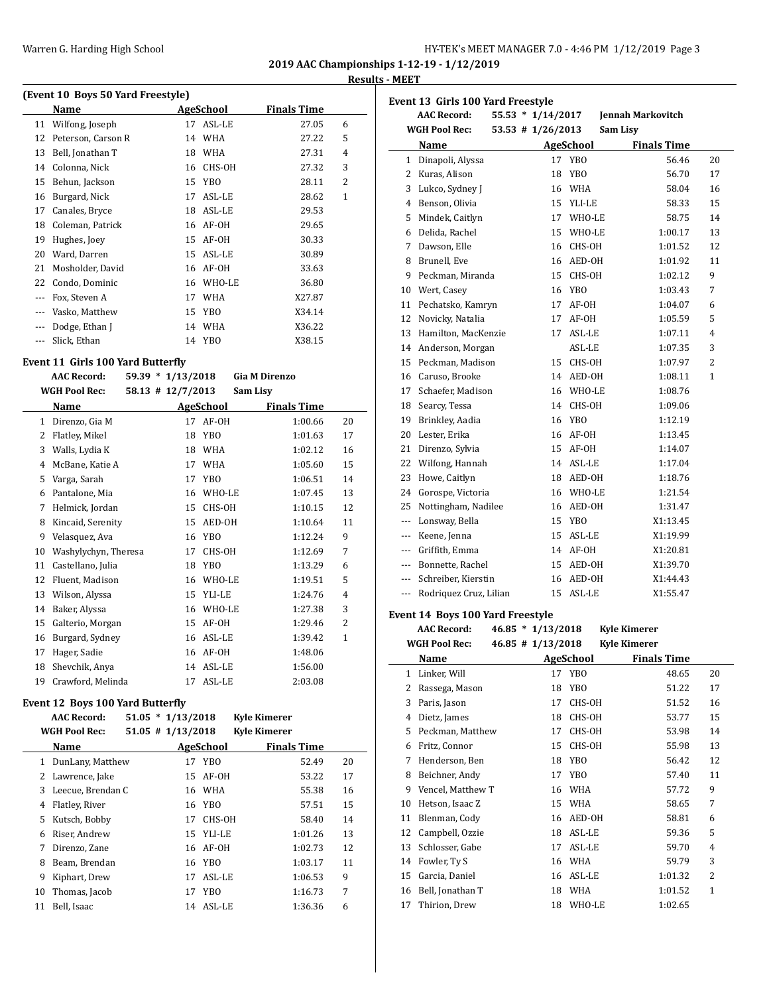### **Results - MEET**

| (Event 10 Boys 50 Yard Freestyle) |                    |    |            |                    |   |  |
|-----------------------------------|--------------------|----|------------|--------------------|---|--|
|                                   | Name               |    | AgeSchool  | <b>Finals Time</b> |   |  |
| 11                                | Wilfong, Joseph    | 17 | ASL-LE     | 27.05              | 6 |  |
| 12                                | Peterson, Carson R | 14 | <b>WHA</b> | 27.22              | 5 |  |
| 13                                | Bell, Jonathan T   | 18 | WHA        | 27.31              | 4 |  |
| 14                                | Colonna, Nick      | 16 | CHS-OH     | 27.32              | 3 |  |
| 15                                | Behun, Jackson     | 15 | YBO        | 28.11              | 2 |  |
| 16                                | Burgard, Nick      | 17 | ASL-LE     | 28.62              | 1 |  |
| 17                                | Canales, Bryce     | 18 | ASL-LE     | 29.53              |   |  |
| 18                                | Coleman, Patrick   | 16 | AF-OH      | 29.65              |   |  |
| 19                                | Hughes, Joey       | 15 | AF-OH      | 30.33              |   |  |
| 20                                | Ward, Darren       | 15 | ASL-LE     | 30.89              |   |  |
| 21                                | Mosholder, David   | 16 | AF-OH      | 33.63              |   |  |
| 22                                | Condo, Dominic     | 16 | WHO-LE     | 36.80              |   |  |
| $---$                             | Fox, Steven A      | 17 | <b>WHA</b> | X27.87             |   |  |
| $---$                             | Vasko, Matthew     | 15 | YBO        | X34.14             |   |  |
|                                   | Dodge, Ethan J     |    | 14 WHA     | X36.22             |   |  |
|                                   | Slick, Ethan       |    | 14 YBO     | X38.15             |   |  |

#### **Event 11 Girls 100 Yard Butterfly**

|    | <b>AAC Record:</b>   | $59.39 * 1/13/2018$ |                 | <b>Gia M Direnzo</b> |              |
|----|----------------------|---------------------|-----------------|----------------------|--------------|
|    | <b>WGH Pool Rec:</b> | 58.13 # 12/7/2013   |                 | Sam Lisy             |              |
|    | Name                 |                     | AgeSchool       | <b>Finals Time</b>   |              |
| 1  | Direnzo, Gia M       | 17                  | AF-OH           | 1:00.66              | 20           |
| 2  | Flatley, Mikel       | 18                  | <b>YBO</b>      | 1:01.63              | 17           |
| 3  | Walls, Lydia K       | 18                  | <b>WHA</b>      | 1:02.12              | 16           |
| 4  | McBane, Katie A      | 17                  | <b>WHA</b>      | 1:05.60              | 15           |
| 5  | Varga, Sarah         | 17                  | <b>YBO</b>      | 1:06.51              | 14           |
| 6  | Pantalone, Mia       | 16                  | WHO-LE          | 1:07.45              | 13           |
| 7  | Helmick, Jordan      | 15                  | CHS-OH          | 1:10.15              | 12           |
| 8  | Kincaid, Serenity    | 15                  | AED-OH          | 1:10.64              | 11           |
| 9  | Velasquez, Ava       | 16                  | <b>YBO</b>      | 1:12.24              | 9            |
| 10 | Washylychyn, Theresa | 17                  | CHS-OH          | 1:12.69              | 7            |
| 11 | Castellano, Julia    | 18                  | YB <sub>0</sub> | 1:13.29              | 6            |
| 12 | Fluent, Madison      | 16                  | WHO-LE          | 1:19.51              | 5            |
| 13 | Wilson, Alyssa       | 15                  | YLI-LE          | 1:24.76              | 4            |
| 14 | Baker, Alyssa        | 16                  | WHO-LE          | 1:27.38              | 3            |
| 15 | Galterio, Morgan     | 15                  | AF-OH           | 1:29.46              | 2            |
| 16 | Burgard, Sydney      | 16                  | ASL-LE          | 1:39.42              | $\mathbf{1}$ |
| 17 | Hager, Sadie         | 16                  | AF-OH           | 1:48.06              |              |
| 18 | Shevchik, Anya       | 14                  | ASL-LE          | 1:56.00              |              |
| 19 | Crawford, Melinda    | 17                  | ASL-LE          | 2:03.08              |              |

#### **Event 12 Boys 100 Yard Butterfly**

|    | <b>AAC Record:</b>   | $51.05 * 1/13/2018$   |                  | <b>Kyle Kimerer</b> |         |    |
|----|----------------------|-----------------------|------------------|---------------------|---------|----|
|    | <b>WGH Pool Rec:</b> | $51.05$ # $1/13/2018$ |                  | <b>Kyle Kimerer</b> |         |    |
|    | Name                 |                       | <b>AgeSchool</b> | <b>Finals Time</b>  |         |    |
| 1  | DunLany, Matthew     | 17                    | YBO              |                     | 52.49   | 20 |
| 2  | Lawrence, Jake       |                       | 15 AF-OH         |                     | 53.22   | 17 |
| 3  | Leecue, Brendan C    |                       | 16 WHA           |                     | 55.38   | 16 |
| 4  | Flatley, River       | 16                    | YBO              |                     | 57.51   | 15 |
| 5  | Kutsch, Bobby        | 17                    | CHS-OH           |                     | 58.40   | 14 |
| 6  | Riser, Andrew        |                       | 15 YLI-LE        |                     | 1:01.26 | 13 |
| 7  | Direnzo, Zane        |                       | 16 AF-0H         |                     | 1:02.73 | 12 |
| 8  | Beam, Brendan        |                       | 16 YBO           |                     | 1:03.17 | 11 |
| 9  | Kiphart, Drew        | 17                    | ASL-LE           |                     | 1:06.53 | 9  |
| 10 | Thomas, Jacob        | 17                    | YBO              |                     | 1:16.73 | 7  |
| 11 | Bell, Isaac          | 14                    | ASL-LE           |                     | 1:36.36 | 6  |

|                       | Event 13 Girls 100 Yard Freestyle |                       |    |                 |                          |    |  |  |  |
|-----------------------|-----------------------------------|-----------------------|----|-----------------|--------------------------|----|--|--|--|
|                       | <b>AAC Record:</b>                | $55.53 * 1/14/2017$   |    |                 | <b>Jennah Markovitch</b> |    |  |  |  |
|                       | <b>WGH Pool Rec:</b>              | $53.53$ # $1/26/2013$ |    |                 | Sam Lisv                 |    |  |  |  |
|                       | Name                              |                       |    | AgeSchool       | <b>Finals Time</b>       |    |  |  |  |
| $\mathbf{1}$          | Dinapoli, Alyssa                  |                       | 17 | <b>YBO</b>      | 56.46                    | 20 |  |  |  |
| $\mathbf{2}^{\prime}$ | Kuras, Alison                     |                       | 18 | YB <sub>0</sub> | 56.70                    | 17 |  |  |  |
| 3                     | Lukco, Sydney J                   |                       |    | 16 WHA          | 58.04                    | 16 |  |  |  |
| 4                     | Benson, Olivia                    |                       |    | 15 YLI-LE       | 58.33                    | 15 |  |  |  |
| 5                     | Mindek, Caitlyn                   |                       |    | 17 WHO-LE       | 58.75                    | 14 |  |  |  |
| 6                     | Delida, Rachel                    |                       | 15 | WHO-LE          | 1:00.17                  | 13 |  |  |  |
| 7                     | Dawson, Elle                      |                       | 16 | CHS-OH          | 1:01.52                  | 12 |  |  |  |
| 8                     | Brunell, Eve                      |                       | 16 | AED-OH          | 1:01.92                  | 11 |  |  |  |
| 9                     | Peckman, Miranda                  |                       | 15 | CHS-OH          | 1:02.12                  | 9  |  |  |  |
| 10                    | Wert, Casey                       |                       | 16 | <b>YBO</b>      | 1:03.43                  | 7  |  |  |  |
| 11                    | Pechatsko, Kamryn                 |                       | 17 | AF-OH           | 1:04.07                  | 6  |  |  |  |
| 12                    | Novicky, Natalia                  |                       | 17 | AF-OH           | 1:05.59                  | 5  |  |  |  |
| 13                    | Hamilton, MacKenzie               |                       | 17 | ASL-LE          | 1:07.11                  | 4  |  |  |  |
| 14                    | Anderson, Morgan                  |                       |    | ASL-LE          | 1:07.35                  | 3  |  |  |  |
| 15                    | Peckman, Madison                  |                       | 15 | CHS-OH          | 1:07.97                  | 2  |  |  |  |
|                       | 16 Caruso, Brooke                 |                       | 14 | AED-OH          | 1:08.11                  | 1  |  |  |  |
| 17                    | Schaefer, Madison                 |                       |    | 16 WHO-LE       | 1:08.76                  |    |  |  |  |
| 18                    | Searcy, Tessa                     |                       | 14 | CHS-OH          | 1:09.06                  |    |  |  |  |
| 19                    | Brinkley, Aadia                   |                       | 16 | YB <sub>0</sub> | 1:12.19                  |    |  |  |  |
| 20                    | Lester, Erika                     |                       |    | 16 AF-OH        | 1:13.45                  |    |  |  |  |
| 21                    | Direnzo, Sylvia                   |                       |    | 15 AF-0H        | 1:14.07                  |    |  |  |  |
| 22                    | Wilfong, Hannah                   |                       |    | 14 ASL-LE       | 1:17.04                  |    |  |  |  |
| 23                    | Howe, Caitlyn                     |                       |    | 18 AED-OH       | 1:18.76                  |    |  |  |  |
| 24                    | Gorospe, Victoria                 |                       |    | 16 WHO-LE       | 1:21.54                  |    |  |  |  |
| 25                    | Nottingham, Nadilee               |                       | 16 | AED-OH          | 1:31.47                  |    |  |  |  |
| $---$                 | Lonsway, Bella                    |                       | 15 | YB <sub>0</sub> | X1:13.45                 |    |  |  |  |
| $---$                 | Keene, Jenna                      |                       | 15 | ASL-LE          | X1:19.99                 |    |  |  |  |
|                       | --- Griffith, Emma                |                       |    | 14 AF-OH        | X1:20.81                 |    |  |  |  |
|                       | --- Bonnette, Rachel              |                       |    | 15 AED-OH       | X1:39.70                 |    |  |  |  |
|                       | --- Schreiber, Kierstin           |                       |    | 16 AED-OH       | X1:44.43                 |    |  |  |  |
| $\overline{a}$        | Rodriquez Cruz, Lilian            |                       | 15 | ASL-LE          | X1:55.47                 |    |  |  |  |

# **Event 14 Boys 100 Yard Freestyle**

|              | <b>AAC Record:</b>   | $46.85 * 1/13/2018$   |                 | <b>Kyle Kimerer</b> |                    |                |
|--------------|----------------------|-----------------------|-----------------|---------------------|--------------------|----------------|
|              | <b>WGH Pool Rec:</b> | $46.85$ # $1/13/2018$ |                 | <b>Kyle Kimerer</b> |                    |                |
|              | Name                 |                       | AgeSchool       |                     | <b>Finals Time</b> |                |
| $\mathbf{1}$ | Linker, Will         | 17                    | YB <sub>0</sub> |                     | 48.65              | 20             |
| 2            | Rassega, Mason       | 18                    | YBO             |                     | 51.22              | 17             |
| 3            | Paris, Jason         | 17                    | CHS-OH          |                     | 51.52              | 16             |
| 4            | Dietz, James         | 18                    | CHS-OH          |                     | 53.77              | 15             |
| 5            | Peckman, Matthew     | 17                    | CHS-OH          |                     | 53.98              | 14             |
| 6            | Fritz, Connor        | 15                    | CHS-OH          |                     | 55.98              | 13             |
| 7            | Henderson, Ben       | 18                    | YB <sub>0</sub> |                     | 56.42              | 12             |
| 8            | Beichner, Andy       | 17                    | YB <sub>0</sub> |                     | 57.40              | 11             |
| 9            | Vencel, Matthew T    | 16                    | <b>WHA</b>      |                     | 57.72              | 9              |
| 10           | Hetson, Isaac Z      | 15                    | <b>WHA</b>      |                     | 58.65              | 7              |
| 11           | Blenman, Cody        | 16                    | AED-OH          |                     | 58.81              | 6              |
| 12           | Campbell, Ozzie      | 18                    | ASL-LE          |                     | 59.36              | 5              |
| 13           | Schlosser, Gabe      | 17                    | ASL-LE          |                     | 59.70              | $\overline{4}$ |
| 14           | Fowler, Ty S         | 16                    | <b>WHA</b>      |                     | 59.79              | 3              |
| 15           | Garcia, Daniel       | 16                    | ASL-LE          |                     | 1:01.32            | 2              |
| 16           | Bell, Jonathan T     | 18                    | WHA             |                     | 1:01.52            | 1              |
| 17           | Thirion, Drew        | 18                    | WHO-LE          |                     | 1:02.65            |                |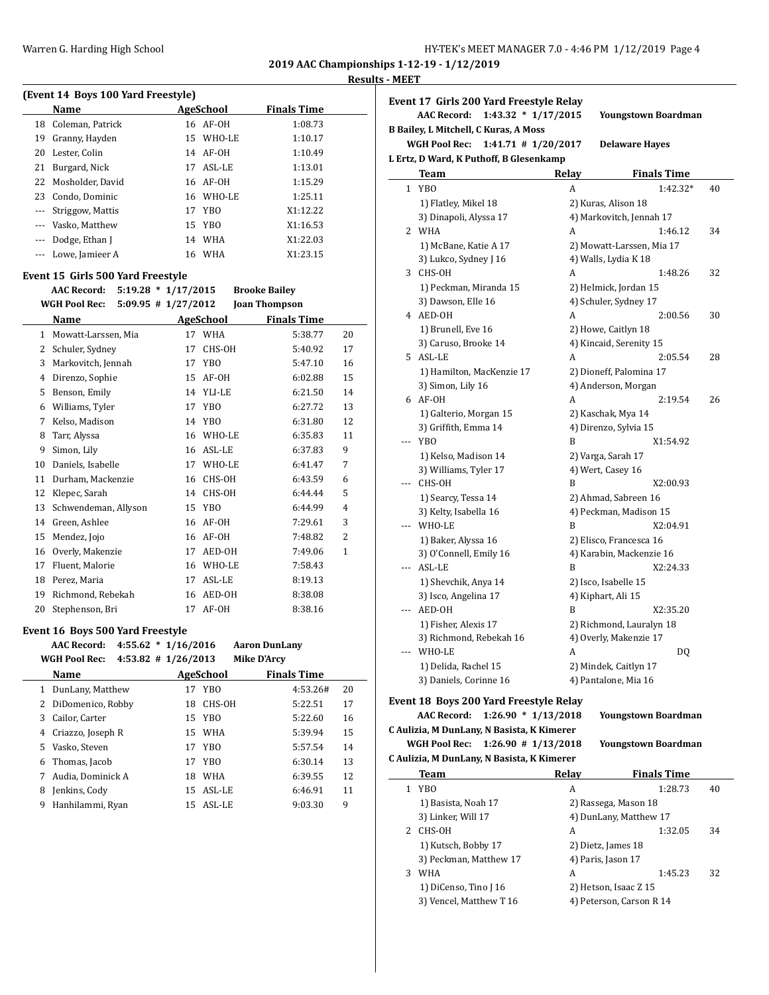#### **Results - MEET**

| (Event 14 Boys 100 Yard Freestyle) |                     |    |           |                    |  |  |  |  |
|------------------------------------|---------------------|----|-----------|--------------------|--|--|--|--|
|                                    | <b>Name</b>         |    | AgeSchool | <b>Finals Time</b> |  |  |  |  |
|                                    | 18 Coleman, Patrick |    | 16 AF-0H  | 1:08.73            |  |  |  |  |
| 19                                 | Granny, Hayden      |    | 15 WHO-LE | 1:10.17            |  |  |  |  |
| 20                                 | Lester, Colin       |    | 14 AF-0H  | 1:10.49            |  |  |  |  |
| 21                                 | Burgard, Nick       | 17 | ASL-LE    | 1:13.01            |  |  |  |  |
|                                    | 22 Mosholder, David |    | 16 AF-0H  | 1:15.29            |  |  |  |  |
|                                    | 23 Condo, Dominic   |    | 16 WHO-LE | 1:25.11            |  |  |  |  |
| $\cdots$                           | Striggow, Mattis    |    | 17 YBO    | X1:12.22           |  |  |  |  |
|                                    | Vasko, Matthew      |    | 15 YBO    | X1:16.53           |  |  |  |  |
|                                    | Dodge, Ethan J      |    | 14 WHA    | X1:22.03           |  |  |  |  |
|                                    | Lowe, Jamieer A     |    | 16 WHA    | X1:23.15           |  |  |  |  |

### **Event 15 Girls 500 Yard Freestyle**

|    | $5:19.28 * 1/17/2015$<br><b>AAC Record:</b>     |    |                 | <b>Brooke Bailey</b> |                |
|----|-------------------------------------------------|----|-----------------|----------------------|----------------|
|    | <b>WGH Pool Rec:</b><br>$5:09.95$ # $1/27/2012$ |    |                 | <b>Joan Thompson</b> |                |
|    | Name                                            |    | AgeSchool       | <b>Finals Time</b>   |                |
| 1  | Mowatt-Larssen, Mia                             | 17 | <b>WHA</b>      | 5:38.77              | 20             |
| 2  | Schuler, Sydney                                 | 17 | CHS-OH          | 5:40.92              | 17             |
| 3  | Markovitch, Jennah                              | 17 | YBO.            | 5:47.10              | 16             |
| 4  | Direnzo, Sophie                                 | 15 | AF-OH           | 6:02.88              | 15             |
| 5  | Benson, Emily                                   | 14 | YLI-LE          | 6:21.50              | 14             |
| 6  | Williams, Tyler                                 | 17 | YB <sub>0</sub> | 6:27.72              | 13             |
| 7  | Kelso, Madison                                  | 14 | YB <sub>0</sub> | 6:31.80              | 12             |
| 8  | Tarr, Alyssa                                    | 16 | WHO-LE          | 6:35.83              | 11             |
| 9  | Simon, Lily                                     | 16 | ASL-LE          | 6:37.83              | 9              |
| 10 | Daniels, Isabelle                               | 17 | WHO-LE          | 6:41.47              | 7              |
| 11 | Durham, Mackenzie                               | 16 | CHS-OH          | 6:43.59              | 6              |
| 12 | Klepec, Sarah                                   | 14 | CHS-OH          | 6:44.44              | 5              |
| 13 | Schwendeman, Allyson                            | 15 | YB <sub>0</sub> | 6:44.99              | 4              |
| 14 | Green, Ashlee                                   | 16 | AF-OH           | 7:29.61              | 3              |
| 15 | Mendez, Jojo                                    | 16 | AF-OH           | 7:48.82              | $\overline{2}$ |
| 16 | Overly, Makenzie                                | 17 | AED-OH          | 7:49.06              | $\mathbf{1}$   |
| 17 | Fluent, Malorie                                 | 16 | WHO-LE          | 7:58.43              |                |
| 18 | Perez, Maria                                    | 17 | ASL-LE          | 8:19.13              |                |
| 19 | Richmond, Rebekah                               | 16 | AED-OH          | 8:38.08              |                |
| 20 | Stephenson, Bri                                 | 17 | AF-OH           | 8:38.16              |                |

#### **Event 16 Boys 500 Yard Freestyle**

|   | <b>AAC Record:</b>   | $4:55.62 * 1/16/2016$   |    |            | <b>Aaron DunLany</b> |    |
|---|----------------------|-------------------------|----|------------|----------------------|----|
|   | <b>WGH Pool Rec:</b> | $4:53.82$ # $1/26/2013$ |    |            | <b>Mike D'Arcy</b>   |    |
|   | Name                 |                         |    | AgeSchool  | <b>Finals Time</b>   |    |
| 1 | DunLany, Matthew     |                         |    | 17 YBO     | 4:53.26#             | 20 |
| 2 | DiDomenico, Robby    |                         | 18 | CHS-OH     | 5:22.51              | 17 |
| 3 | Cailor, Carter       |                         |    | 15 YBO     | 5:22.60              | 16 |
| 4 | Criazzo, Joseph R    |                         |    | 15 WHA     | 5:39.94              | 15 |
| 5 | Vasko, Steven        |                         |    | 17 YBO     | 5:57.54              | 14 |
| 6 | Thomas, Jacob        |                         |    | 17 YBO     | 6:30.14              | 13 |
| 7 | Audia, Dominick A    |                         | 18 | <b>WHA</b> | 6:39.55              | 12 |
| 8 | Jenkins, Codv        |                         | 15 | ASL-LE     | 6:46.91              | 11 |
| 9 | Hanhilammi, Ryan     |                         |    | 15 ASL-LE  | 9:03.30              | 9  |

|                | Event 17 Girls 200 Yard Freestyle Relay<br><b>AAC Record:</b><br>$1:43.32 * 1/17/2015$ |       | <b>Youngstown Boardman</b> |    |
|----------------|----------------------------------------------------------------------------------------|-------|----------------------------|----|
|                | <b>B Bailey, L Mitchell, C Kuras, A Moss</b>                                           |       |                            |    |
|                | WGH Pool Rec:<br>$1:41.71$ # $1/20/2017$                                               |       | <b>Delaware Hayes</b>      |    |
|                | L Ertz, D Ward, K Puthoff, B Glesenkamp                                                |       |                            |    |
|                | Team                                                                                   | Relay | <b>Finals Time</b>         |    |
| $\mathbf{1}$   | YBO                                                                                    | A     | $1:42.32*$                 | 40 |
|                | 1) Flatley, Mikel 18                                                                   |       | 2) Kuras, Alison 18        |    |
|                | 3) Dinapoli, Alyssa 17                                                                 |       | 4) Markovitch, Jennah 17   |    |
|                | 2 WHA                                                                                  | A     | 1:46.12                    | 34 |
|                | 1) McBane, Katie A 17                                                                  |       | 2) Mowatt-Larssen, Mia 17  |    |
|                | 3) Lukco, Sydney J 16                                                                  |       | 4) Walls, Lydia K 18       |    |
|                | 3 CHS-OH                                                                               | A     | 1:48.26                    | 32 |
|                | 1) Peckman, Miranda 15                                                                 |       | 2) Helmick, Jordan 15      |    |
|                | 3) Dawson, Elle 16                                                                     |       | 4) Schuler, Sydney 17      |    |
|                | 4 AED-OH                                                                               | A     | 2:00.56                    | 30 |
|                | 1) Brunell, Eve 16                                                                     |       | 2) Howe, Caitlyn 18        |    |
|                | 3) Caruso, Brooke 14                                                                   |       | 4) Kincaid, Serenity 15    |    |
|                | 5 ASL-LE                                                                               | A     | 2:05.54                    | 28 |
|                | 1) Hamilton, MacKenzie 17                                                              |       | 2) Dioneff, Palomina 17    |    |
|                | 3) Simon, Lily 16                                                                      |       | 4) Anderson, Morgan        |    |
|                | 6 AF-OH                                                                                | A     | 2:19.54                    | 26 |
|                | 1) Galterio, Morgan 15                                                                 |       | 2) Kaschak, Mya 14         |    |
|                | 3) Griffith, Emma 14                                                                   |       | 4) Direnzo, Sylvia 15      |    |
| $\overline{a}$ | <b>YBO</b>                                                                             | B     | X1:54.92                   |    |
|                | 1) Kelso, Madison 14                                                                   |       | 2) Varga, Sarah 17         |    |
|                | 3) Williams, Tyler 17                                                                  |       | 4) Wert, Casey 16          |    |
|                | --- CHS-OH                                                                             | B     | X2:00.93                   |    |
|                | 1) Searcy, Tessa 14                                                                    |       | 2) Ahmad, Sabreen 16       |    |
|                | 3) Kelty, Isabella 16                                                                  |       | 4) Peckman, Madison 15     |    |
|                | --- WHO-LE                                                                             | B     | X2:04.91                   |    |
|                | 1) Baker, Alyssa 16                                                                    |       | 2) Elisco, Francesca 16    |    |
|                | 3) O'Connell, Emily 16                                                                 |       | 4) Karabin, Mackenzie 16   |    |
| ---            | ASL-LE                                                                                 | B     | X2:24.33                   |    |
|                | 1) Shevchik, Anya 14                                                                   |       | 2) Isco, Isabelle 15       |    |
|                | 3) Isco, Angelina 17                                                                   |       | 4) Kiphart, Ali 15         |    |
| $---$          | AED-OH                                                                                 | B     | X2:35.20                   |    |
|                | 1) Fisher, Alexis 17                                                                   |       | 2) Richmond, Lauralyn 18   |    |
|                | 3) Richmond, Rebekah 16                                                                |       | 4) Overly, Makenzie 17     |    |
| ---            | WHO-LE                                                                                 | A     | DQ                         |    |
|                | 1) Delida, Rachel 15                                                                   |       | 2) Mindek, Caitlyn 17      |    |
|                | 3) Daniels, Corinne 16                                                                 |       | 4) Pantalone, Mia 16       |    |
|                | Event 18, Roys 200 Vard Freestyle Relay                                                |       |                            |    |

**Event 18 Boys 200 Yard Freestyle Relay AAC Record: 1:26.90 \* 1/13/2018 Youngstown Boardman**

**C Aulizia, M DunLany, N Basista, K Kimerer WGH Pool Rec: 1:26.90 # 1/13/2018 Youngstown Boardman**

|    | C Aulizia, M DunLany, N Basista, K Kimerer |       |                          |    |  |  |  |  |
|----|--------------------------------------------|-------|--------------------------|----|--|--|--|--|
|    | Team                                       | Relay | <b>Finals Time</b>       |    |  |  |  |  |
| 1. | YBO                                        | A     | 1:28.73                  | 40 |  |  |  |  |
|    | 1) Basista, Noah 17                        |       | 2) Rassega, Mason 18     |    |  |  |  |  |
|    | 3) Linker, Will 17                         |       | 4) DunLany, Matthew 17   |    |  |  |  |  |
| 2. | CHS-OH                                     | A     | 1:32.05                  | 34 |  |  |  |  |
|    | 1) Kutsch, Bobby 17                        |       | 2) Dietz, James 18       |    |  |  |  |  |
|    | 3) Peckman, Matthew 17                     |       | 4) Paris, Jason 17       |    |  |  |  |  |
| 3  | WHA                                        | A     | 1:45.23                  | 32 |  |  |  |  |
|    | 1) DiCenso, Tino J 16                      |       | 2) Hetson, Isaac Z 15    |    |  |  |  |  |
|    | 3) Vencel, Matthew T 16                    |       | 4) Peterson, Carson R 14 |    |  |  |  |  |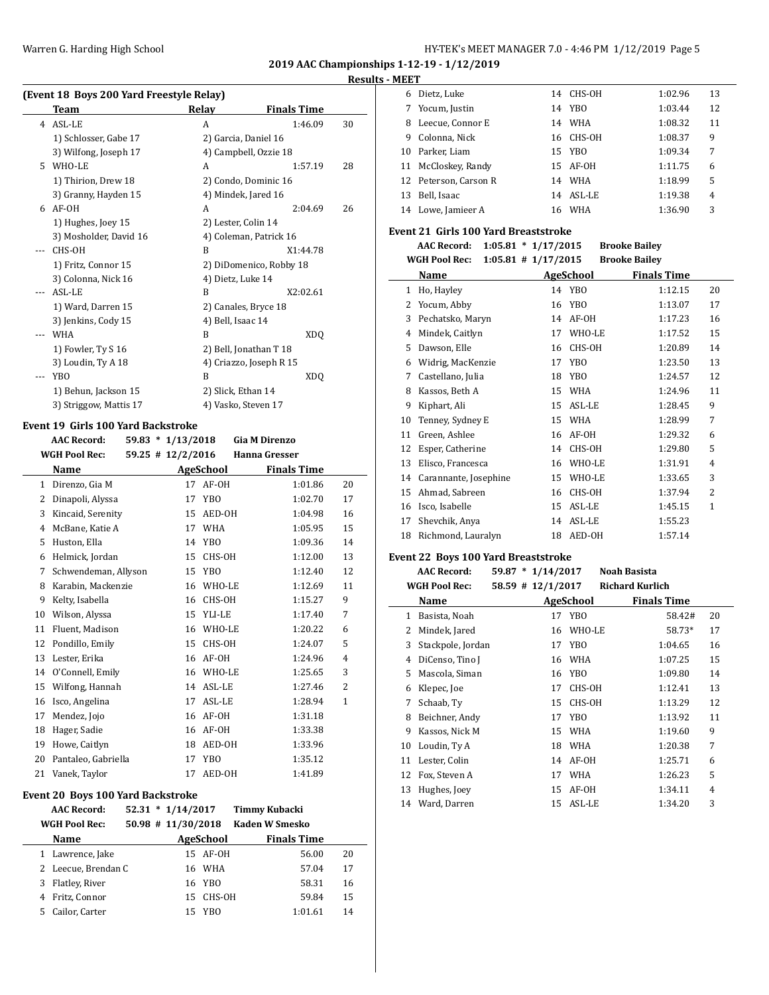# **Results - MEET**

|     | (Event 18 Boys 200 Yard Freestyle Relay) |                      |                         |    |  |  |  |
|-----|------------------------------------------|----------------------|-------------------------|----|--|--|--|
|     | Team                                     | Relay                | <b>Finals Time</b>      |    |  |  |  |
| 4   | ASL-LE                                   | A                    | 1:46.09                 | 30 |  |  |  |
|     | 1) Schlosser, Gabe 17                    | 2) Garcia, Daniel 16 |                         |    |  |  |  |
|     | 3) Wilfong, Joseph 17                    |                      | 4) Campbell, Ozzie 18   |    |  |  |  |
| 5.  | WHO-LE                                   | A                    | 1:57.19                 | 28 |  |  |  |
|     | 1) Thirion, Drew 18                      |                      | 2) Condo, Dominic 16    |    |  |  |  |
|     | 3) Granny, Hayden 15                     | 4) Mindek, Jared 16  |                         |    |  |  |  |
| 6   | AF-OH                                    | A                    | 2:04.69                 | 26 |  |  |  |
|     | 1) Hughes, Joey 15                       |                      | 2) Lester, Colin 14     |    |  |  |  |
|     | 3) Mosholder, David 16                   |                      | 4) Coleman, Patrick 16  |    |  |  |  |
|     | CHS-OH                                   | R                    | X1:44.78                |    |  |  |  |
|     | 1) Fritz, Connor 15                      |                      | 2) DiDomenico, Robby 18 |    |  |  |  |
|     | 3) Colonna, Nick 16                      | 4) Dietz, Luke 14    |                         |    |  |  |  |
| --- | ASL-LE                                   | B                    | X2:02.61                |    |  |  |  |
|     | 1) Ward, Darren 15                       |                      | 2) Canales, Bryce 18    |    |  |  |  |
|     | 3) Jenkins, Cody 15                      | 4) Bell, Isaac 14    |                         |    |  |  |  |
| --- | <b>WHA</b>                               | B                    | XDO                     |    |  |  |  |
|     | 1) Fowler, Ty S 16                       |                      | 2) Bell, Jonathan T 18  |    |  |  |  |
|     | 3) Loudin, Ty A 18                       |                      | 4) Criazzo, Joseph R 15 |    |  |  |  |
| --- | YBO                                      | B                    | XDO                     |    |  |  |  |
|     | 1) Behun, Jackson 15                     | 2) Slick, Ethan 14   |                         |    |  |  |  |
|     | 3) Striggow, Mattis 17                   | 4) Vasko, Steven 17  |                         |    |  |  |  |
|     |                                          |                      |                         |    |  |  |  |

### **Event 19 Girls 100 Yard Backstroke**

|    | <b>AAC Record:</b>   |  | $59.83 * 1/13/2018$   |                 | <b>Gia M Direnzo</b> |         |              |
|----|----------------------|--|-----------------------|-----------------|----------------------|---------|--------------|
|    | <b>WGH Pool Rec:</b> |  | $59.25$ # $12/2/2016$ |                 | <b>Hanna Gresser</b> |         |              |
|    | Name                 |  |                       | AgeSchool       | <b>Finals Time</b>   |         |              |
| 1  | Direnzo, Gia M       |  | 17                    | AF-OH           |                      | 1:01.86 | 20           |
| 2  | Dinapoli, Alyssa     |  | 17                    | YB <sub>0</sub> |                      | 1:02.70 | 17           |
| 3  | Kincaid, Serenity    |  | 15                    | AED-OH          |                      | 1:04.98 | 16           |
| 4  | McBane, Katie A      |  | 17                    | <b>WHA</b>      |                      | 1:05.95 | 15           |
| 5  | Huston, Ella         |  | 14                    | YB <sub>0</sub> |                      | 1:09.36 | 14           |
| 6  | Helmick, Jordan      |  | 15                    | CHS-OH          |                      | 1:12.00 | 13           |
| 7  | Schwendeman, Allyson |  | 15                    | YB <sub>0</sub> |                      | 1:12.40 | 12           |
| 8  | Karabin, Mackenzie   |  | 16                    | WHO-LE          |                      | 1:12.69 | 11           |
| 9  | Kelty, Isabella      |  | 16                    | CHS-OH          |                      | 1:15.27 | 9            |
| 10 | Wilson, Alyssa       |  | 15                    | YLI-LE          |                      | 1:17.40 | 7            |
| 11 | Fluent, Madison      |  | 16                    | WHO-LE          |                      | 1:20.22 | 6            |
| 12 | Pondillo, Emily      |  | 15                    | CHS-OH          |                      | 1:24.07 | 5            |
| 13 | Lester, Erika        |  | 16                    | AF-OH           |                      | 1:24.96 | 4            |
| 14 | O'Connell, Emily     |  | 16                    | WHO-LE          |                      | 1:25.65 | 3            |
| 15 | Wilfong, Hannah      |  | 14                    | ASL-LE          |                      | 1:27.46 | 2            |
| 16 | Isco, Angelina       |  | 17                    | ASL-LE          |                      | 1:28.94 | $\mathbf{1}$ |
| 17 | Mendez, Jojo         |  | 16                    | AF-OH           |                      | 1:31.18 |              |
| 18 | Hager, Sadie         |  | 16                    | AF-OH           |                      | 1:33.38 |              |
| 19 | Howe, Caitlyn        |  | 18                    | AED-OH          |                      | 1:33.96 |              |
| 20 | Pantaleo, Gabriella  |  | 17                    | YB <sub>O</sub> |                      | 1:35.12 |              |
| 21 | Vanek, Taylor        |  | 17                    | AED-OH          |                      | 1:41.89 |              |

#### **Event 20 Boys 100 Yard Backstroke**

|   | <b>AAC Record:</b><br><b>WGH Pool Rec:</b> | $52.31 * 1/14/2017$<br>$50.98$ # 11/30/2018 |           | <b>Timmy Kubacki</b><br><b>Kaden W Smesko</b> |    |
|---|--------------------------------------------|---------------------------------------------|-----------|-----------------------------------------------|----|
|   | <b>Name</b>                                |                                             | AgeSchool | <b>Finals Time</b>                            |    |
|   | 1 Lawrence, Jake                           |                                             | 15 AF-OH  | 56.00                                         | 20 |
|   | 2 Leecue, Brendan C                        |                                             | 16 WHA    | 57.04                                         | 17 |
|   | 3 Flatley, River                           |                                             | 16 YBO    | 58.31                                         | 16 |
| 4 | Fritz, Connor                              |                                             | 15 CHS-OH | 59.84                                         | 15 |
| 5 | Cailor, Carter                             | 15                                          | YBO       | 1:01.61                                       | 14 |

| 6. | Dietz, Luke           |     | 14 CHS-OH | 1:02.96 | 13 |
|----|-----------------------|-----|-----------|---------|----|
|    | 7 Yocum, Justin       |     | 14 YBO    | 1:03.44 | 12 |
| 8  | Leecue, Connor E      | 14  | WHA       | 1:08.32 | 11 |
| 9  | Colonna, Nick         |     | 16 CHS-OH | 1:08.37 | 9  |
| 10 | Parker, Liam          |     | 15 YBO    | 1:09.34 | 7  |
|    | 11 McCloskey, Randy   |     | 15 AF-0H  | 1:11.75 | 6  |
|    | 12 Peterson, Carson R | 14  | WHA       | 1:18.99 | 5  |
| 13 | Bell, Isaac           |     | 14 ASL-LE | 1:19.38 | 4  |
| 14 | Lowe, Jamieer A       | 16. | WHA       | 1:36.90 | 3  |

#### **Event 21 Girls 100 Yard Breaststroke**

| <b>AAC Record:</b>   | $1:05.81 * 1/17/2015$  | <b>Brooke Bailey</b> |
|----------------------|------------------------|----------------------|
| <b>WGH Pool Rec:</b> | $1:05.81 \# 1/17/2015$ | <b>Brooke Bailev</b> |

|    | Name                  |    | <b>AgeSchool</b> | <b>Finals Time</b> |                |
|----|-----------------------|----|------------------|--------------------|----------------|
| 1  | Ho, Hayley            | 14 | YB <sub>0</sub>  | 1:12.15            | 20             |
| 2  | Yocum, Abby           | 16 | YB <sub>0</sub>  | 1:13.07            | 17             |
| 3  | Pechatsko, Maryn      | 14 | AF-OH            | 1:17.23            | 16             |
| 4  | Mindek, Caitlyn       | 17 | WHO-LE           | 1:17.52            | 15             |
| 5  | Dawson, Elle          | 16 | CHS-OH           | 1:20.89            | 14             |
| 6  | Widrig, MacKenzie     | 17 | YBO              | 1:23.50            | 13             |
| 7  | Castellano, Julia     | 18 | YB <sub>0</sub>  | 1:24.57            | 12             |
| 8  | Kassos, Beth A        | 15 | <b>WHA</b>       | 1:24.96            | 11             |
| 9  | Kiphart, Ali          | 15 | ASL-LE           | 1:28.45            | 9              |
| 10 | Tenney, Sydney E      | 15 | <b>WHA</b>       | 1:28.99            | 7              |
| 11 | Green, Ashlee         | 16 | AF-OH            | 1:29.32            | 6              |
| 12 | Esper, Catherine      | 14 | CHS-OH           | 1:29.80            | 5              |
| 13 | Elisco, Francesca     | 16 | WHO-LE           | 1:31.91            | 4              |
| 14 | Carannante, Josephine | 15 | WHO-LE           | 1:33.65            | 3              |
| 15 | Ahmad, Sabreen        | 16 | CHS-OH           | 1:37.94            | $\overline{2}$ |
| 16 | Isco, Isabelle        | 15 | ASL-LE           | 1:45.15            | $\mathbf{1}$   |
| 17 | Shevchik, Anya        | 14 | ASL-LE           | 1:55.23            |                |
| 18 | Richmond, Lauralyn    | 18 | AED-OH           | 1:57.14            |                |
|    |                       |    |                  |                    |                |

#### **Event 22 Boys 100 Yard Breaststroke**

**AAC Record: 59.87 \* 1/14/2017 Noah Basista WGH Pool Rec: 58.59 # 12/1/2017 Richard Kurlich**

|    | Name              |    | AgeSchool       | <b>Finals Time</b> |    |
|----|-------------------|----|-----------------|--------------------|----|
| 1  | Basista, Noah     | 17 | YBO             | 58.42#             | 20 |
| 2  | Mindek, Jared     | 16 | WHO-LE          | 58.73*             | 17 |
| 3  | Stackpole, Jordan | 17 | YB <sub>0</sub> | 1:04.65            | 16 |
| 4  | DiCenso, Tino J   | 16 | WHA             | 1:07.25            | 15 |
| 5. | Mascola, Siman    | 16 | YBO             | 1:09.80            | 14 |
| 6  | Klepec, Joe       | 17 | CHS-OH          | 1:12.41            | 13 |
| 7  | Schaab, Ty        | 15 | CHS-OH          | 1:13.29            | 12 |
| 8  | Beichner, Andy    | 17 | YBO             | 1:13.92            | 11 |
| 9  | Kassos, Nick M    | 15 | WHA             | 1:19.60            | 9  |
| 10 | Loudin, Ty A      | 18 | <b>WHA</b>      | 1:20.38            | 7  |
| 11 | Lester, Colin     | 14 | AF-OH           | 1:25.71            | 6  |
| 12 | Fox, Steven A     | 17 | <b>WHA</b>      | 1:26.23            | 5  |
| 13 | Hughes, Joey      | 15 | AF-OH           | 1:34.11            | 4  |
| 14 | Ward, Darren      | 15 | ASL-LE          | 1:34.20            | 3  |